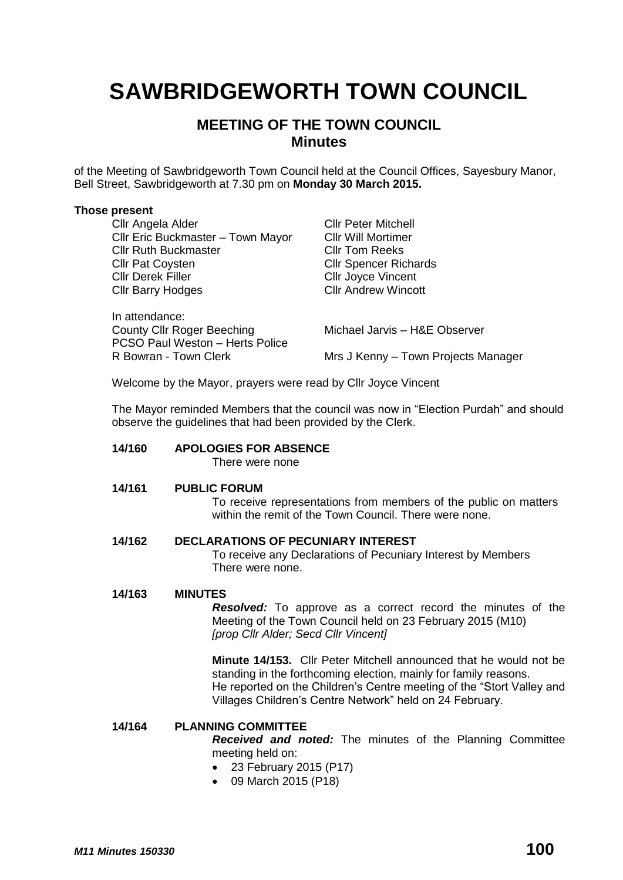# **SAWBRIDGEWORTH TOWN COUNCIL**

# **MEETING OF THE TOWN COUNCIL Minutes**

of the Meeting of Sawbridgeworth Town Council held at the Council Offices, Sayesbury Manor, Bell Street, Sawbridgeworth at 7.30 pm on **Monday 30 March 2015.**

# **Those present**

| Cllr Angela Alder                                        | <b>CIIr Peter Mitchell</b>          |
|----------------------------------------------------------|-------------------------------------|
| Cllr Eric Buckmaster - Town Mayor                        | <b>CIIr Will Mortimer</b>           |
| <b>Cllr Ruth Buckmaster</b>                              | <b>CIIr Tom Reeks</b>               |
| <b>Cllr Pat Coysten</b>                                  | <b>CIIr Spencer Richards</b>        |
| <b>Cllr Derek Filler</b>                                 | <b>CIIr Joyce Vincent</b>           |
| <b>Cllr Barry Hodges</b>                                 | <b>CIIr Andrew Wincott</b>          |
| In attendance:                                           |                                     |
| <b>County Cllr Roger Beeching</b>                        | Michael Jarvis - H&E Observer       |
| PCSO Paul Weston - Herts Police<br>R Bowran - Town Clerk | Mrs J Kenny - Town Projects Manager |
|                                                          |                                     |

Welcome by the Mayor, prayers were read by Cllr Joyce Vincent

The Mayor reminded Members that the council was now in "Election Purdah" and should observe the guidelines that had been provided by the Clerk.

# **14/160 APOLOGIES FOR ABSENCE**

There were none

# **14/161 PUBLIC FORUM**

To receive representations from members of the public on matters within the remit of the Town Council. There were none.

# **14/162 DECLARATIONS OF PECUNIARY INTEREST**

To receive any Declarations of Pecuniary Interest by Members There were none.

# **14/163 MINUTES**

*Resolved:* To approve as a correct record the minutes of the Meeting of the Town Council held on 23 February 2015 (M10) *[prop Cllr Alder; Secd Cllr Vincent]*

**Minute 14/153.** Cllr Peter Mitchell announced that he would not be standing in the forthcoming election, mainly for family reasons. He reported on the Children's Centre meeting of the "Stort Valley and Villages Children's Centre Network" held on 24 February.

# **14/164 PLANNING COMMITTEE**

*Received and noted:* The minutes of the Planning Committee meeting held on:

- 23 February 2015 (P17)
- 09 March 2015 (P18)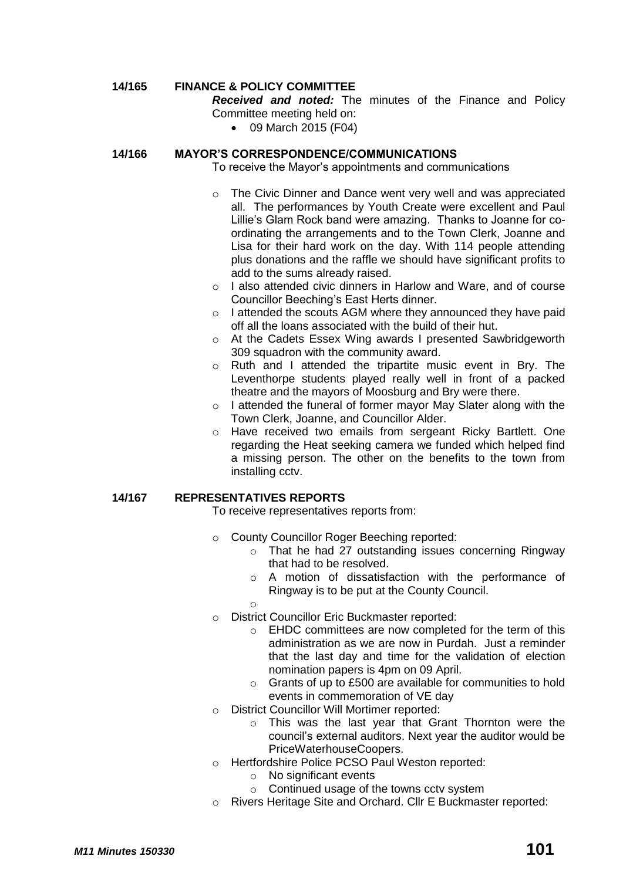# **14/165 FINANCE & POLICY COMMITTEE**

*Received and noted:* The minutes of the Finance and Policy Committee meeting held on:

09 March 2015 (F04)

# **14/166 MAYOR'S CORRESPONDENCE/COMMUNICATIONS**

To receive the Mayor's appointments and communications

- o The Civic Dinner and Dance went very well and was appreciated all. The performances by Youth Create were excellent and Paul Lillie's Glam Rock band were amazing. Thanks to Joanne for coordinating the arrangements and to the Town Clerk, Joanne and Lisa for their hard work on the day. With 114 people attending plus donations and the raffle we should have significant profits to add to the sums already raised.
- o I also attended civic dinners in Harlow and Ware, and of course Councillor Beeching's East Herts dinner.
- o I attended the scouts AGM where they announced they have paid off all the loans associated with the build of their hut.
- o At the Cadets Essex Wing awards I presented Sawbridgeworth 309 squadron with the community award.
- o Ruth and I attended the tripartite music event in Bry. The Leventhorpe students played really well in front of a packed theatre and the mayors of Moosburg and Bry were there.
- o I attended the funeral of former mayor May Slater along with the Town Clerk, Joanne, and Councillor Alder.
- o Have received two emails from sergeant Ricky Bartlett. One regarding the Heat seeking camera we funded which helped find a missing person. The other on the benefits to the town from installing cctv.

# **14/167 REPRESENTATIVES REPORTS**

To receive representatives reports from:

- o County Councillor Roger Beeching reported:
	- o That he had 27 outstanding issues concerning Ringway that had to be resolved.
	- o A motion of dissatisfaction with the performance of Ringway is to be put at the County Council.
	- o
- o District Councillor Eric Buckmaster reported:
	- o EHDC committees are now completed for the term of this administration as we are now in Purdah. Just a reminder that the last day and time for the validation of election nomination papers is 4pm on 09 April.
	- o Grants of up to £500 are available for communities to hold events in commemoration of VE day
- o District Councillor Will Mortimer reported:
	- o This was the last year that Grant Thornton were the council's external auditors. Next year the auditor would be PriceWaterhouseCoopers.
- o Hertfordshire Police PCSO Paul Weston reported:
	- o No significant events
	- o Continued usage of the towns cctv system
- o Rivers Heritage Site and Orchard. Cllr E Buckmaster reported: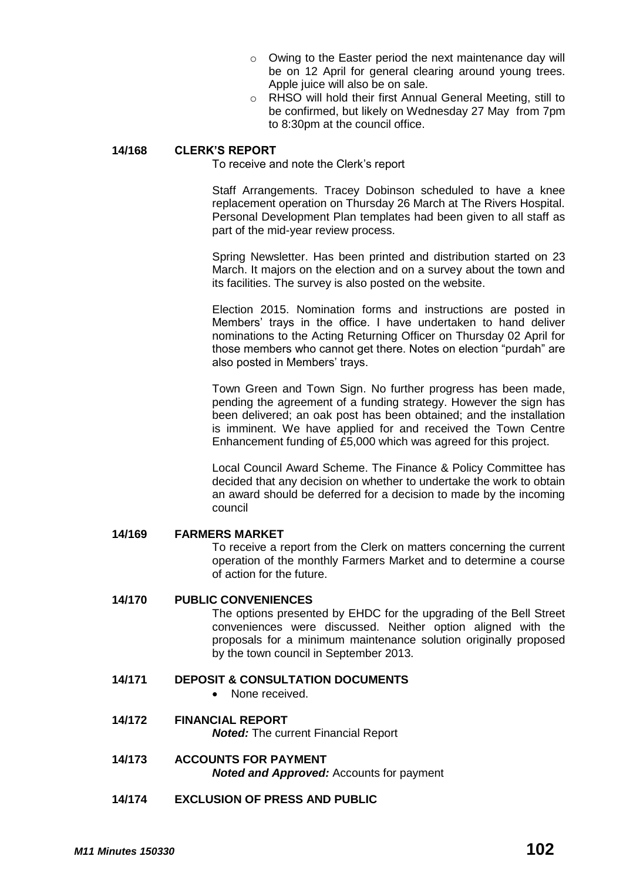- o Owing to the Easter period the next maintenance day will be on 12 April for general clearing around young trees. Apple juice will also be on sale.
- o RHSO will hold their first Annual General Meeting, still to be confirmed, but likely on Wednesday 27 May from 7pm to 8:30pm at the council office.

# **14/168 CLERK'S REPORT**

To receive and note the Clerk's report

Staff Arrangements. Tracey Dobinson scheduled to have a knee replacement operation on Thursday 26 March at The Rivers Hospital. Personal Development Plan templates had been given to all staff as part of the mid-year review process.

Spring Newsletter. Has been printed and distribution started on 23 March. It majors on the election and on a survey about the town and its facilities. The survey is also posted on the website.

Election 2015. Nomination forms and instructions are posted in Members' trays in the office. I have undertaken to hand deliver nominations to the Acting Returning Officer on Thursday 02 April for those members who cannot get there. Notes on election "purdah" are also posted in Members' trays.

Town Green and Town Sign. No further progress has been made, pending the agreement of a funding strategy. However the sign has been delivered; an oak post has been obtained; and the installation is imminent. We have applied for and received the Town Centre Enhancement funding of £5,000 which was agreed for this project.

Local Council Award Scheme. The Finance & Policy Committee has decided that any decision on whether to undertake the work to obtain an award should be deferred for a decision to made by the incoming council

**14/169 FARMERS MARKET**

To receive a report from the Clerk on matters concerning the current operation of the monthly Farmers Market and to determine a course of action for the future.

#### **14/170 PUBLIC CONVENIENCES**

The options presented by EHDC for the upgrading of the Bell Street conveniences were discussed. Neither option aligned with the proposals for a minimum maintenance solution originally proposed by the town council in September 2013.

- **14/171 DEPOSIT & CONSULTATION DOCUMENTS**
	- None received.
- **14/172 FINANCIAL REPORT**

*Noted:* The current Financial Report

- **14/173 ACCOUNTS FOR PAYMENT** *Noted and Approved:* Accounts for payment
- **14/174 EXCLUSION OF PRESS AND PUBLIC**